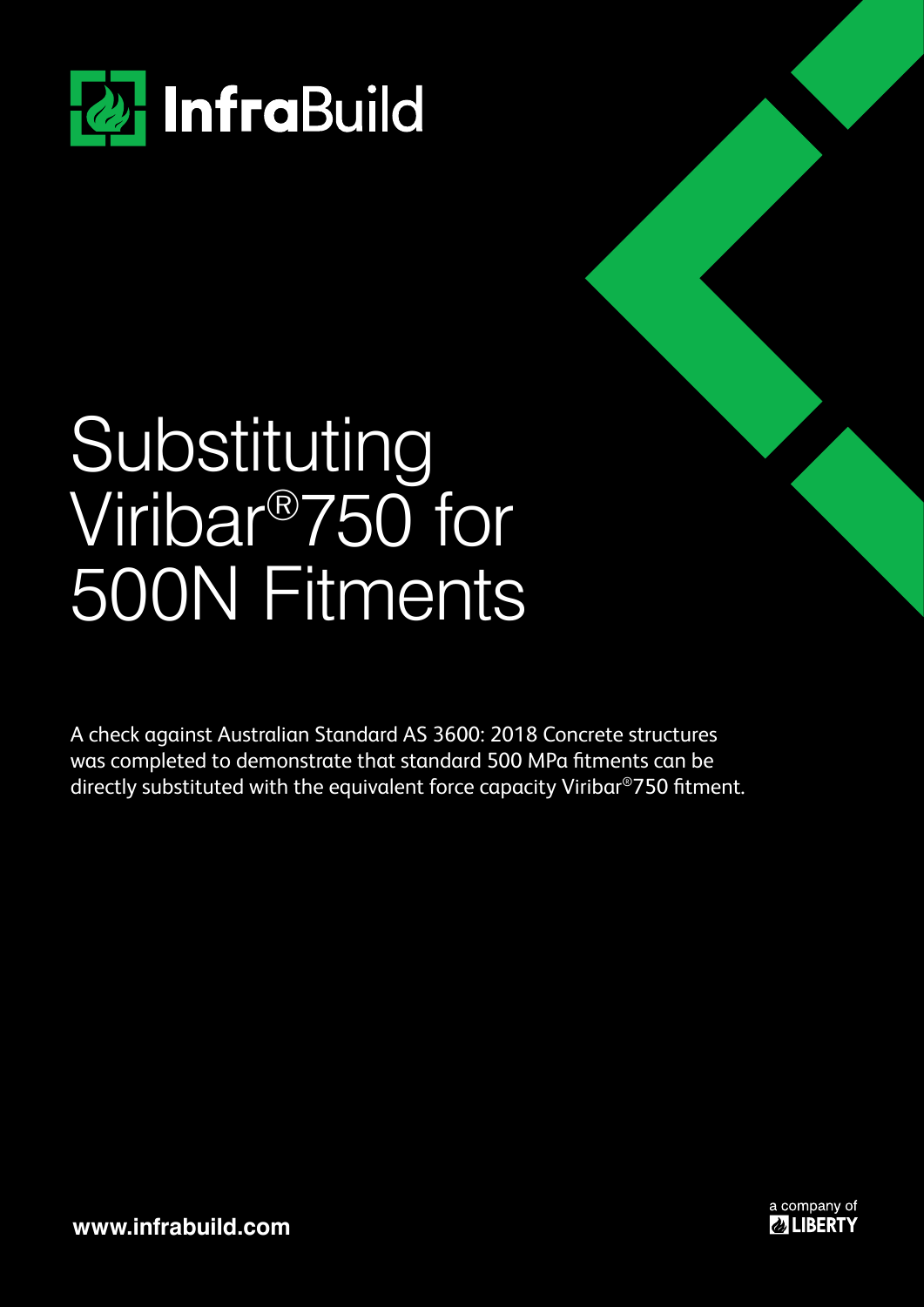

## Substituting Viribar®750 for 500N Fitments

A check against Australian Standard AS 3600: 2018 Concrete structures was completed to demonstrate that standard 500 MPa fitments can be directly substituted with the equivalent force capacity Viribar®750 fitment.



**www.infrabuild.com**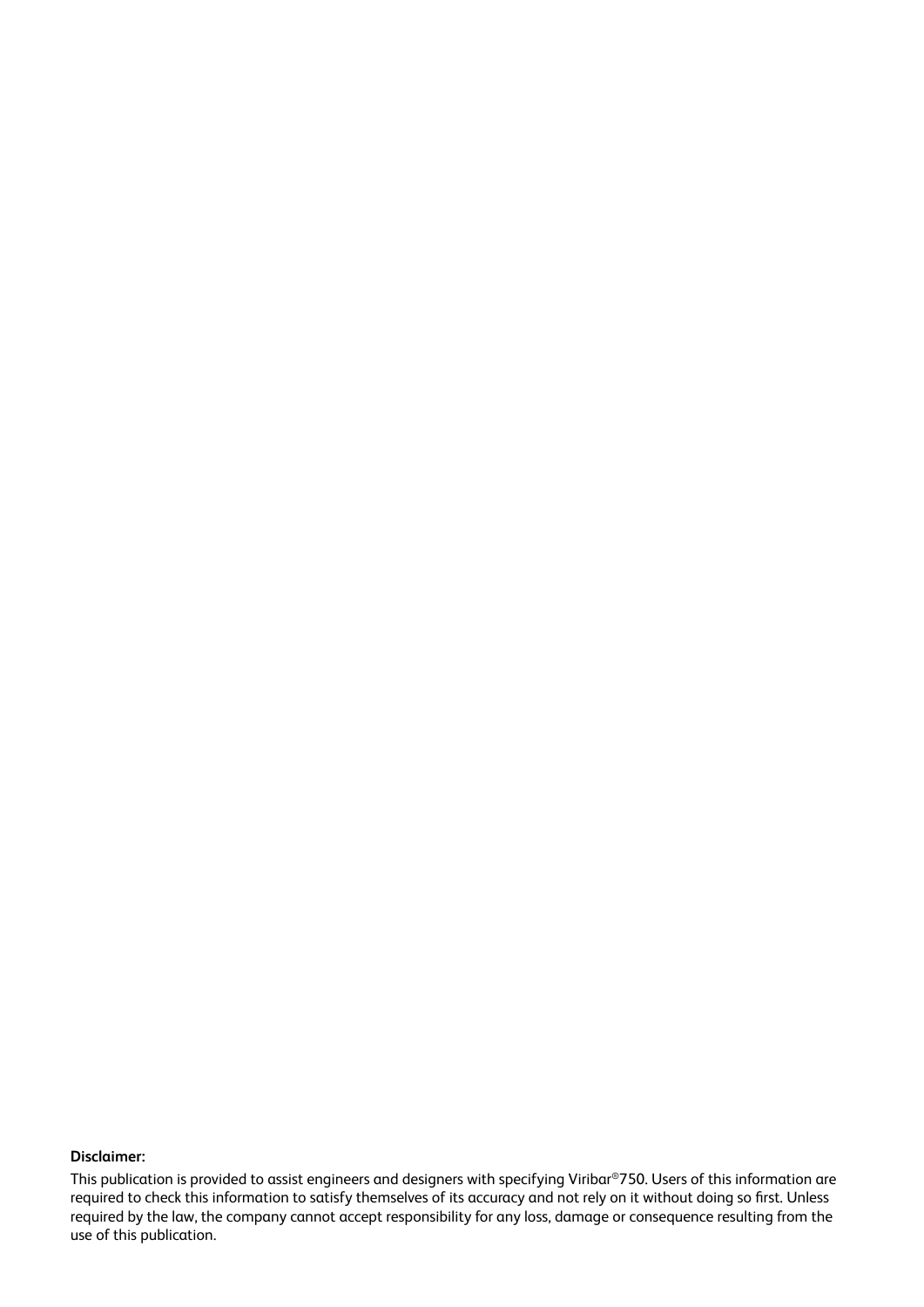#### **Disclaimer:**

This publication is provided to assist engineers and designers with specifying Viribar®750. Users of this information are required to check this information to satisfy themselves of its accuracy and not rely on it without doing so first. Unless required by the law, the company cannot accept responsibility for any loss, damage or consequence resulting from the use of this publication.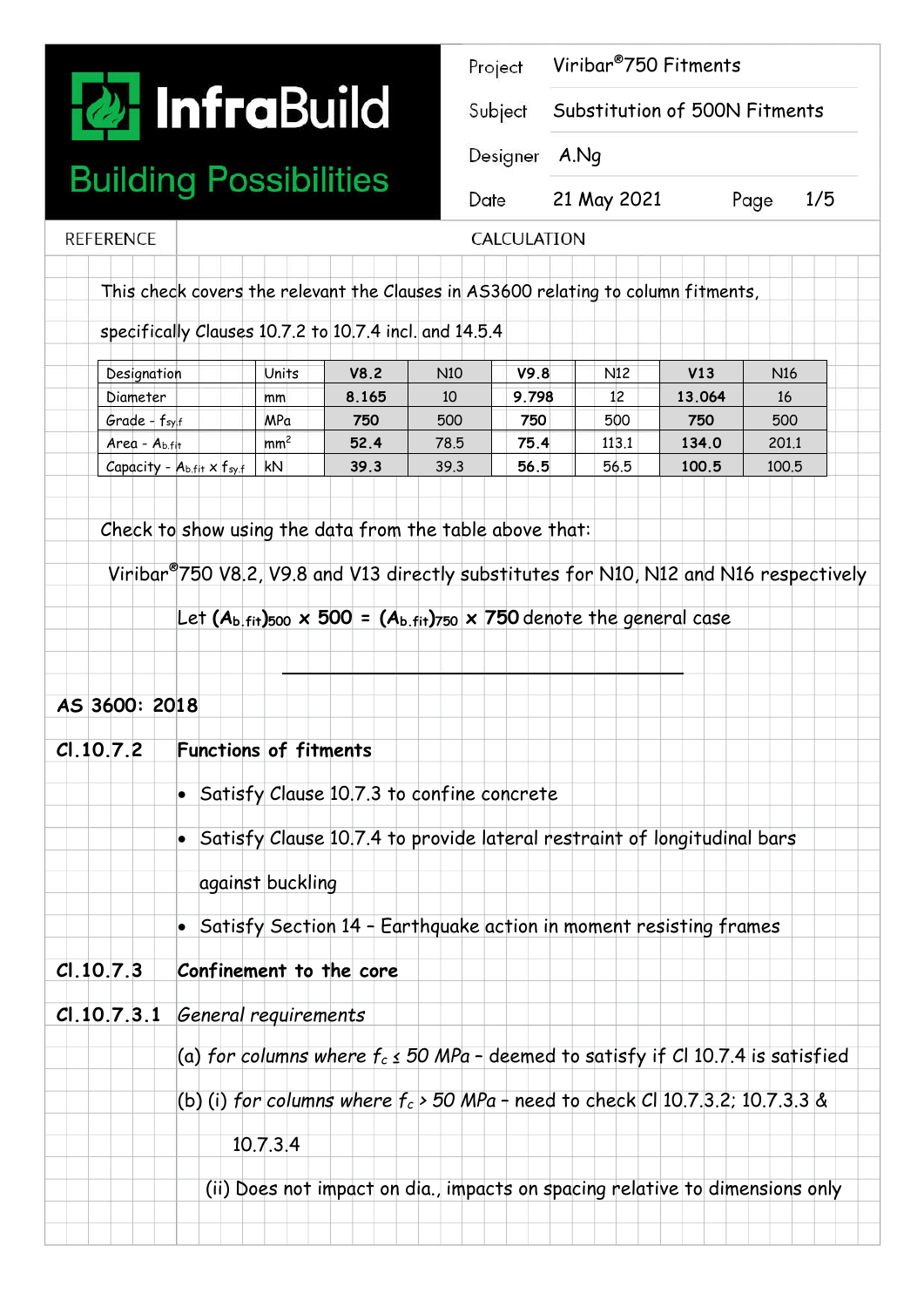# **To** InfraBuild

### **Building Possibilities**

**REFERENCE** 

| <b>2 Infra</b> Build |                                                                                   | Project             | Viribar <sup>®</sup> 750 Fitments<br>Substitution of 500N Fitments |             |  |
|----------------------|-----------------------------------------------------------------------------------|---------------------|--------------------------------------------------------------------|-------------|--|
|                      |                                                                                   | Subject<br>Designer |                                                                    |             |  |
|                      |                                                                                   |                     | A.Nq                                                               |             |  |
|                      | uilding Possibilities                                                             | Date                | 21 May 2021                                                        | 1/5<br>Page |  |
| Erence               |                                                                                   | CALCULATION         |                                                                    |             |  |
|                      | This check covers the relevant the Clauses in AS3600 relating to column fitments, |                     |                                                                    |             |  |
|                      | specifically Clauses 10.7.2 to 10.7.4 incl. and 14.5.4                            |                     |                                                                    |             |  |

| Designation                               | Units           | V8.2  | N <sub>10</sub> | V9.8  | N <sub>12</sub> | V13    | N <sub>16</sub> |
|-------------------------------------------|-----------------|-------|-----------------|-------|-----------------|--------|-----------------|
| Diameter                                  | mm              | 8.165 | 10              | 9.798 | 12              | 13.064 | 16              |
| $Grade - f_{sylf}$                        | MPa             | 750   | 500             | 750   | 500             | 750    | 500             |
| Area - A <sub>b.fit</sub>                 | mm <sup>2</sup> | 52.4  | 78.5            | 75.4  | 113.1           | 134.0  | 201.1           |
| Capacity -<br>$A_{b,fit} \times f_{sv,f}$ | kN              | 39.3  | 39.3            | 56.5  | 56.5            | 100.5  | 100.5           |

Check to show using the data from the table above that:

Viribar®750 V8.2, V9.8 and V13 directly substitutes for N10, N12 and N16 respectively

Let  $(A_b)_{fit}$  500  $\overline{A}$   $\overline{500}$  =  $(A_b)_{fit}$  750 denote the general case

| C1.10.7.2 | <b>Functions of fitments</b>                                                         |
|-----------|--------------------------------------------------------------------------------------|
|           | Satisfy Clause 10.7.3 to confine concrete                                            |
|           | Satisfy Clause 10.7.4 to provide lateral restraint of longitudinal bars              |
|           | against buckling                                                                     |
|           | Satisfy Section 14 - Earthquake action in moment resisting frames                    |
| C1.10.7.3 | Confinement to the core                                                              |
|           | CI.10.7.3.1 General requirements                                                     |
|           | (a) for columns where $f_c \le 50$ MPa - deemed to satisfy if CI 10.7.4 is satisfied |
|           | (b) (i) for columns where $f_c$ > 50 MPa - need to check Cl 10.7.3.2; 10.7.3.3 &     |
|           | 10.7.314                                                                             |
|           | (ii) Does not impact on dia., impacts on spacing relative to dimensions only         |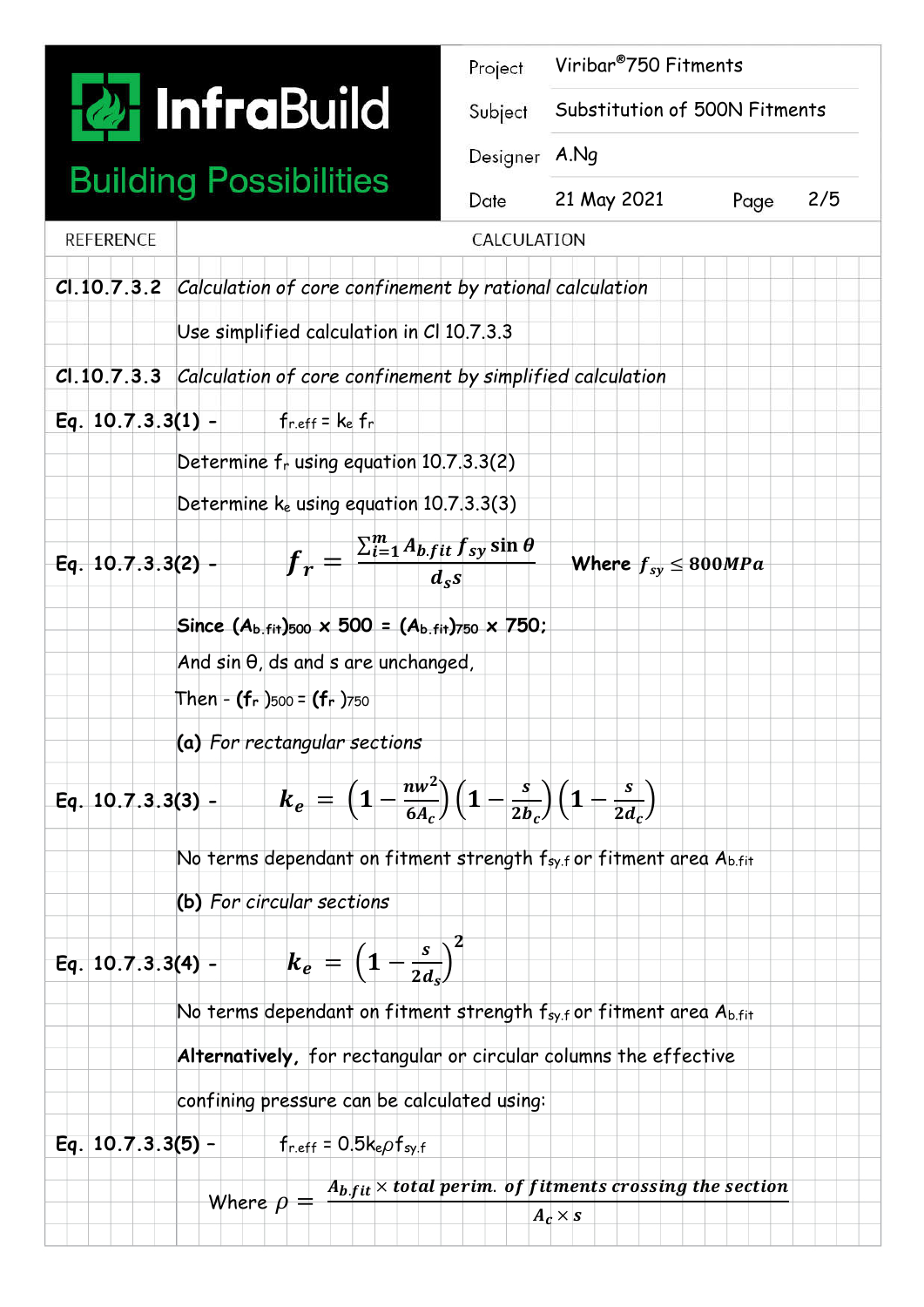

### **Building Possibilities**

|                                                      |                                                                                         | Project                          | Viribar <sup>®</sup> 750 Fitments |  |             |
|------------------------------------------------------|-----------------------------------------------------------------------------------------|----------------------------------|-----------------------------------|--|-------------|
| <b>2 InfraBuild</b><br><b>Building Possibilities</b> |                                                                                         | Subject<br>Designer A.Ng<br>Date | Substitution of 500N Fitments     |  |             |
|                                                      |                                                                                         |                                  |                                   |  |             |
|                                                      |                                                                                         |                                  | <b>REFERENCE</b>                  |  | CALCULATION |
|                                                      | CI.10.7.3.2 Calculation of core confinement by rational calculation                     |                                  |                                   |  |             |
|                                                      | Use simplified calculation in C  10.7.3.3                                               |                                  |                                   |  |             |
| Cl.10.7.3.3                                          | Calculation of core confinement by simplified calculation                               |                                  |                                   |  |             |
| Eq. $10.7.3.3(1) -$                                  | $f_{r,eff} = k_e f_r$                                                                   |                                  |                                   |  |             |
|                                                      | Determine frusing equation 10.7.3.3(2)                                                  |                                  |                                   |  |             |
|                                                      | Determine ke using equation 10.7.3.3(3)                                                 |                                  |                                   |  |             |
| $Eq. 10.7.3.3(2) -$                                  | $\sum_{i=1}^{m} A_{b} f_{it} f_{sy} \sin \theta$<br>$\boldsymbol{f_r}$<br>$d_{\rm s}$ s |                                  | Where $f_{sy} \le 800MPa$         |  |             |
|                                                      | $\sim$ $\sim$ $\sim$ $\sim$ $\sim$<br><b>EAA</b>                                        |                                  |                                   |  |             |

**Since (Ab.fit)500 x 500 = (Ab.fit)750 x 750;** 

And sin θ, ds and s are unchanged,

Then - **(fr** )500 = **(fr** )750

**(a)** *For rectangular sections*

Eq. 10.7.3.3(3) - 
$$
k_e = \left(1 - \frac{nw^2}{6A_c}\right)\left(1 - \frac{s}{2b_c}\right)\left(1 - \frac{s}{2d_c}\right)
$$

No terms dependant on fitment strength  $f_{syl}$  or fitment area  $A_{b,fit}$ 

**(b)** *For circular sections*

#### **Eq.** 10.7.3.3(4) -  $\qquad$   $k_e = \left(1 - \frac{s}{2d_s}\right)$  $\big)$  $\mathbf{z}$

No terms dependant on fitment strength  $f_{syl}$  or fitment area  $A_{b,fit}$ 

**Alternatively,** for rectangular or circular columns the effective

confining pressure can be calculated using:

**Eq. 10.7.3.3(5)** – fr.eff =  $0.5k_{e}\rho f_{s}$ 

Where  $\rho = \frac{A_{b,fit} \times total \, perim. \, of \, fitness \, crossing \, the \, section}$  $A_c \times s$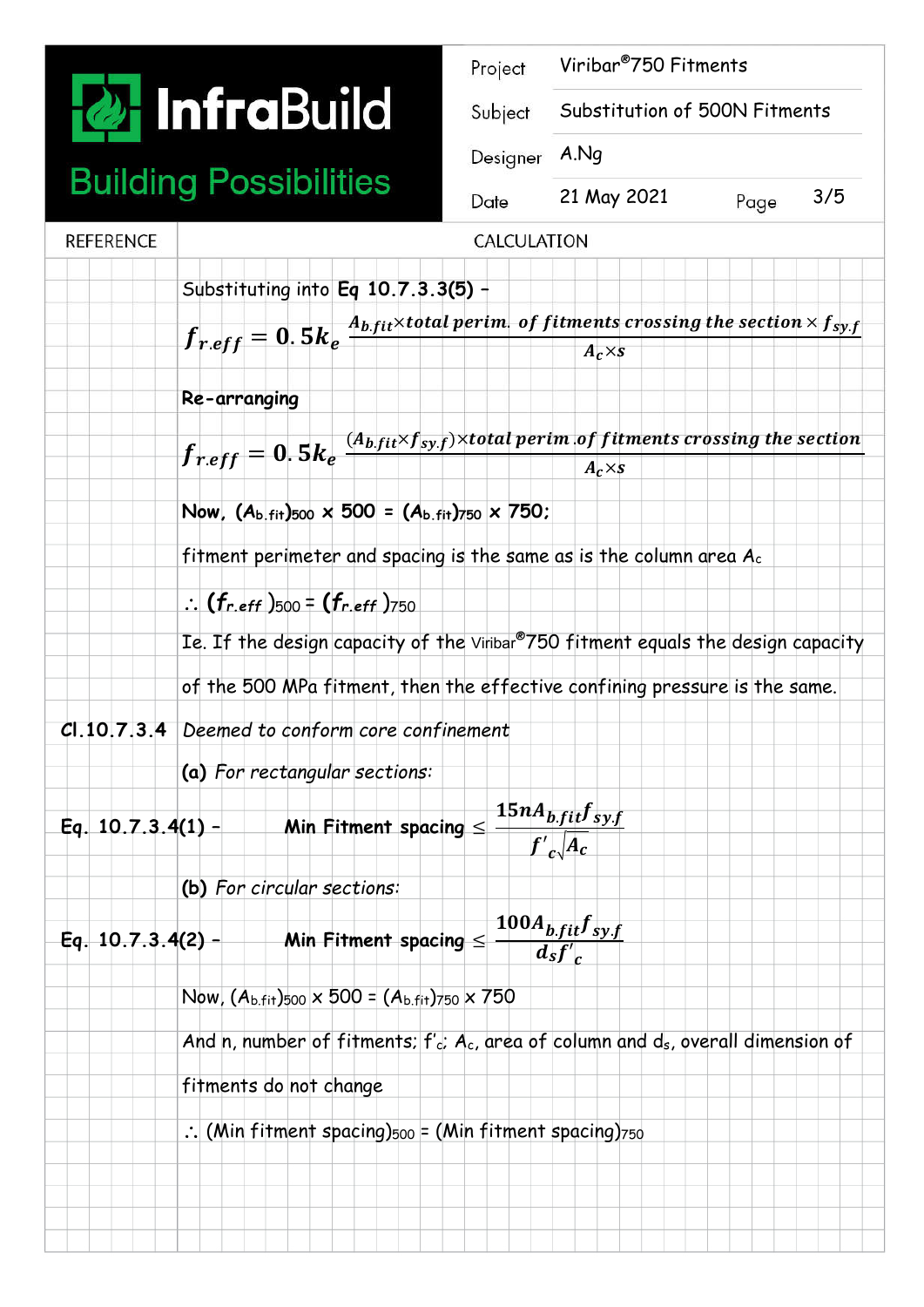# **T** Infral

### **Building Possi**

|                     |                                                                                                                                     | Project     | Viribar <sup>®</sup> 750 Fitments              |      |     |
|---------------------|-------------------------------------------------------------------------------------------------------------------------------------|-------------|------------------------------------------------|------|-----|
|                     | <b><i><u>a.</u></i></b> InfraBuild                                                                                                  | Subject     | Substitution of 500N Fitments                  |      |     |
|                     |                                                                                                                                     | Designer    | A.Nq                                           |      |     |
|                     | <b>Building Possibilities</b>                                                                                                       | Date        | 21 May 2021                                    | Page | 3/5 |
| <b>REFERENCE</b>    |                                                                                                                                     | CALCULATION |                                                |      |     |
|                     | Substituting into Eq $10.7.3.3(5)$ +                                                                                                |             |                                                |      |     |
|                     | $f_{r.eff} = 0.5 k_e \frac{A_{b. fit} \times total \, perim. \, of \, fitness}$ of fitments crossing the section $\times f_{s y.f}$ |             | $A_c \times s$                                 |      |     |
|                     | Re-arranging                                                                                                                        |             |                                                |      |     |
|                     | $f_{r.eff} = 0.5 k_e^{-(A_{b,fit} \times f_{sy.f}) \times total\ perim. of\ fitments crossing\ the\ section}$                       |             | $A_c \times s$                                 |      |     |
|                     | Now, $(A_b)_{fit}$ = $(A_b)_{fit}$ = $(A_b)_{fit}$ = $(2.750)$ ;                                                                    |             |                                                |      |     |
|                     | fitment perimeter and spacing is the same as is the column area $A_c$                                                               |             |                                                |      |     |
|                     | $\therefore$ (fr.eff)500 = (fr.eff)750                                                                                              |             |                                                |      |     |
|                     | Ie. If the design capacity of the Viribar®750 fitment equals the design capacity                                                    |             |                                                |      |     |
|                     | of the 500 MPa fitment, then the effective confining pressure is the same.                                                          |             |                                                |      |     |
| Cl.10.7.3.4         | Deemed to conform core confinement                                                                                                  |             |                                                |      |     |
|                     | (a) For rectangular sections:                                                                                                       |             |                                                |      |     |
| Eq. $10.7.3.4(1)$ - | Min Fitment spacing $\leq$                                                                                                          |             | $15nA_{b.fit}f_{sy.f}$<br>$f'_{c}\sqrt{A_{c}}$ |      |     |
|                     | (b) For circular sections:                                                                                                          |             |                                                |      |     |

**(b)** *For circular sections:*

Eq. 10.7.3.4(2) - Min Fitment spacing 
$$
\leq \frac{100A_{b,fit}f_{sy,f}}{d_s f'_c}
$$

Now,  $(A_{b.fit})_{500} \times 500 = (A_{b.fit})_{750} \times 750$ 

And n, number of fitments; f'c; Ac, area of column and ds, overall dimension of

fitments do not change

 $\therefore$  (Min fitment spacing) $500 = (Min$  fitment spacing) $750$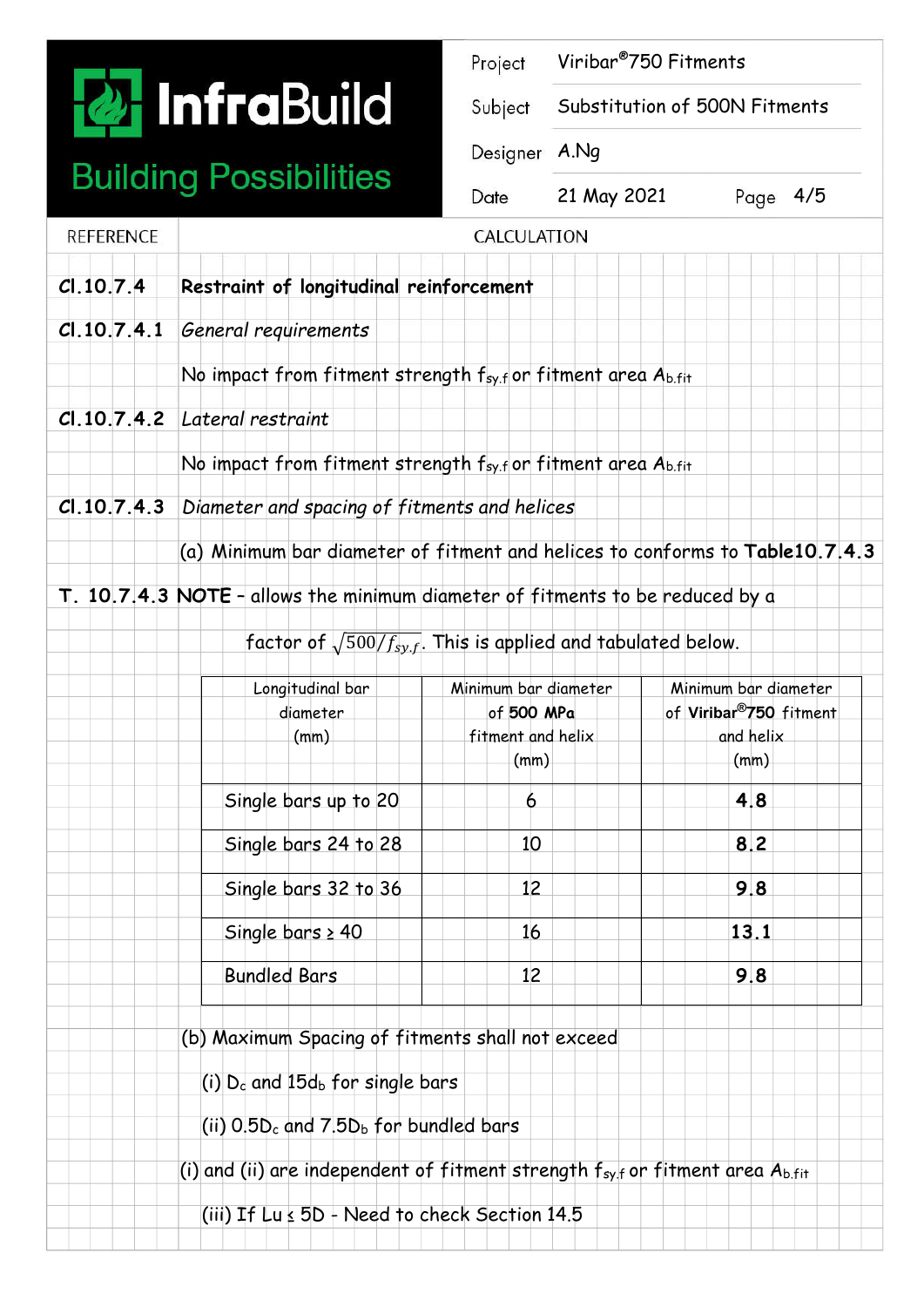

### **Building Possibilities**

| Project | Viribar <sup>®</sup> 750 Fitments |  |
|---------|-----------------------------------|--|
|---------|-----------------------------------|--|

Subject Substitution of 500N Fitments

Designer A.Ng

Date

21 May 2021 Page 4/5

| <b>REFERENCE</b> |                                                                                        | CALCULATION                                                             |                                     |
|------------------|----------------------------------------------------------------------------------------|-------------------------------------------------------------------------|-------------------------------------|
| C1.10.7.4        | Restraint of longitudinal reinforcement                                                |                                                                         |                                     |
| Cl.10.7.4.1      | General requirements                                                                   |                                                                         |                                     |
|                  | No impact from fitment strength $f_{syl}$ or fitment area $A_{b.fit}$                  |                                                                         |                                     |
|                  | Cl. 10.7.4.2 Lateral restraint                                                         |                                                                         |                                     |
|                  | No impact from fitment strength $f_{syl}$ or fitment area $A_{b,fit}$                  |                                                                         |                                     |
| Cl.10.7.4.3      | Diameter and spacing of fitments and helices                                           |                                                                         |                                     |
|                  | (a) Minimum bar diameter of fitment and helices to conforms to Table 10.7.4.3          |                                                                         |                                     |
|                  | T. 10.7.4.3 NOTE - allows the minimum diameter of fitments to be reduced by a          |                                                                         |                                     |
|                  |                                                                                        | factor of $\sqrt{500/f_{s_y,f}}$ . This is applied and tabulated below. |                                     |
|                  | Longitudinal bar                                                                       | Minimum bar diameter                                                    | Minimum bar diameter                |
|                  | diameter                                                                               | of 500 MPa                                                              | of Viribar <sup>®</sup> 750 fitment |
|                  | (mm)                                                                                   | fitment and helix                                                       | and helix                           |
|                  |                                                                                        | (mm)                                                                    | (mm)                                |
|                  | Single bars up to 20                                                                   | 6                                                                       | 4.8                                 |
|                  | Single bars 24 to 28                                                                   | 10                                                                      | 8.2                                 |
|                  | Single bars 32 to 36                                                                   | 12                                                                      | 9.8                                 |
|                  | Single bars $\geq 40$                                                                  | 16                                                                      | 13.1                                |
|                  | <b>Bundled Bars</b>                                                                    | 12 <sup>2</sup>                                                         | 9.8                                 |
|                  | (b) Maximum Spacing of fitments shall not exceed                                       |                                                                         |                                     |
|                  | (i) $Dc$ and 15d <sub>b</sub> for single bars                                          |                                                                         |                                     |
|                  | (ii) $0.5D_c$ and $7.5D_b$ for bundled bars                                            |                                                                         |                                     |
|                  | (i) and (ii) are independent of fitment strength $f_{syl}$ or fitment area $A_{b,fit}$ |                                                                         |                                     |
|                  | (iii) If $Lu \le 5D$ - Need to check Section 14.5                                      |                                                                         |                                     |
|                  |                                                                                        |                                                                         |                                     |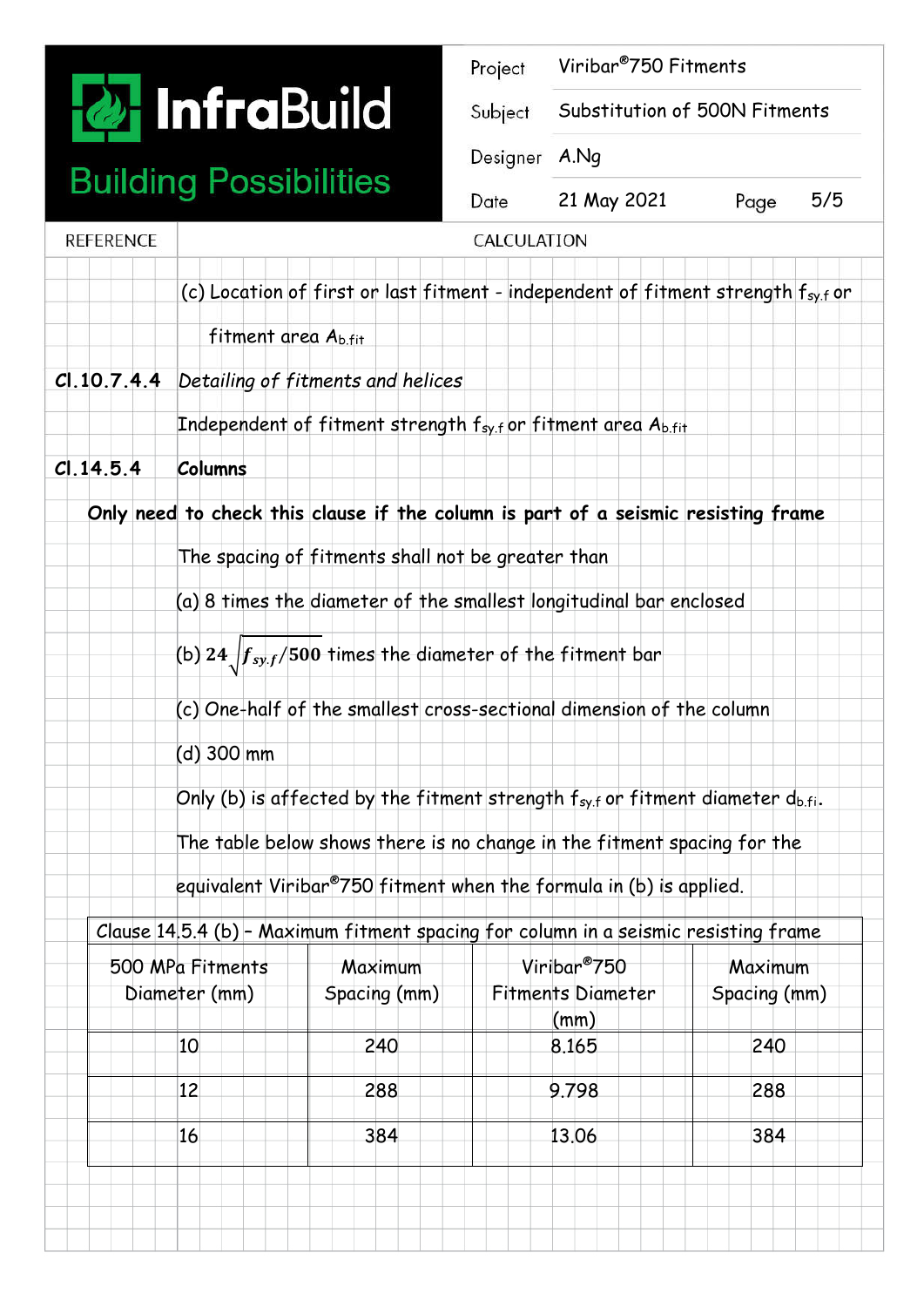**P.** InfraBuild

### **Building Possibilities**

| Project       | Viribar <sup>®</sup> 750 Fitments |      |     |
|---------------|-----------------------------------|------|-----|
| Subject       | Substitution of 500N Fitments     |      |     |
| Designer A.Nq |                                   |      |     |
| Date          | 21 May 2021                       | Page | 5/5 |
| CALCULATION   |                                   |      |     |

| <b>REFERENCE</b> |                                                                                          |                                                   | CALCULATION                                                                         |              |  |  |
|------------------|------------------------------------------------------------------------------------------|---------------------------------------------------|-------------------------------------------------------------------------------------|--------------|--|--|
|                  |                                                                                          |                                                   | (c) Location of first or last fitment - independent of fitment strength fsy.for     |              |  |  |
|                  | fitment area A <sub>bfit</sub>                                                           |                                                   |                                                                                     |              |  |  |
| Cl.10.7.4.4      |                                                                                          | Detailing of fitments and helices                 |                                                                                     |              |  |  |
|                  |                                                                                          |                                                   | Independent of fitment strength fsy.for fitment area Ab.fit                         |              |  |  |
| C.14.5.4         | <b>Columns</b>                                                                           |                                                   |                                                                                     |              |  |  |
|                  |                                                                                          |                                                   | Only need to check this clause if the column is part of a seismic resisting frame   |              |  |  |
|                  |                                                                                          | The spacing of fitments shall not be greater than |                                                                                     |              |  |  |
|                  | (a) 8 times the diameter of the smallest longitudinal bar enclosed                       |                                                   |                                                                                     |              |  |  |
|                  | (b) 24 $\int \frac{f_{s y,f}}{500}$ times the diameter of the fitment bar                |                                                   |                                                                                     |              |  |  |
|                  | (c) One-half of the smallest cross-sectional dimension of the column                     |                                                   |                                                                                     |              |  |  |
|                  | (d) 300 mm                                                                               |                                                   |                                                                                     |              |  |  |
|                  | Only (b) is affected by the fitment strength $f_{sy,f}$ or fitment diameter $d_{b.f.}$ . |                                                   |                                                                                     |              |  |  |
|                  | The table below shows there is no change in the fitment spacing for the                  |                                                   |                                                                                     |              |  |  |
|                  |                                                                                          |                                                   | equivalent Viribar®750 fitment when the formula in (b) is applied.                  |              |  |  |
|                  |                                                                                          |                                                   | Clause 14.5.4 (b) - Maximum fitment spacing for column in a seismic resisting frame |              |  |  |
|                  | 500 MPa Fitments                                                                         | Maximum                                           | Viribar <sup>®</sup> 750                                                            | Maximum      |  |  |
|                  | Diameter (mm)                                                                            | Spacing (mm)                                      | <b>Fitments Diameter</b>                                                            | Spacing (mm) |  |  |
|                  |                                                                                          |                                                   |                                                                                     |              |  |  |
|                  | 10                                                                                       | 240                                               | (mm)<br>8.165                                                                       | 240          |  |  |
|                  | 12                                                                                       | 288                                               | 9.798                                                                               | 288          |  |  |